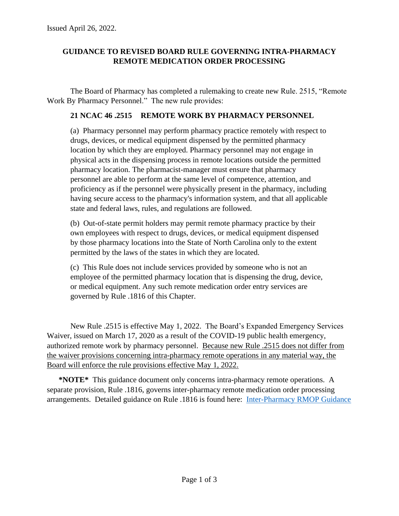# **GUIDANCE TO REVISED BOARD RULE GOVERNING INTRA-PHARMACY REMOTE MEDICATION ORDER PROCESSING**

The Board of Pharmacy has completed a rulemaking to create new Rule. 2515, "Remote Work By Pharmacy Personnel." The new rule provides:

### **21 NCAC 46 .2515 REMOTE WORK BY PHARMACY PERSONNEL**

(a) Pharmacy personnel may perform pharmacy practice remotely with respect to drugs, devices, or medical equipment dispensed by the permitted pharmacy location by which they are employed. Pharmacy personnel may not engage in physical acts in the dispensing process in remote locations outside the permitted pharmacy location. The pharmacist-manager must ensure that pharmacy personnel are able to perform at the same level of competence, attention, and proficiency as if the personnel were physically present in the pharmacy, including having secure access to the pharmacy's information system, and that all applicable state and federal laws, rules, and regulations are followed.

(b) Out-of-state permit holders may permit remote pharmacy practice by their own employees with respect to drugs, devices, or medical equipment dispensed by those pharmacy locations into the State of North Carolina only to the extent permitted by the laws of the states in which they are located.

(c) This Rule does not include services provided by someone who is not an employee of the permitted pharmacy location that is dispensing the drug, device, or medical equipment. Any such remote medication order entry services are governed by Rule .1816 of this Chapter.

New Rule .2515 is effective May 1, 2022. The Board's Expanded Emergency Services Waiver, issued on March 17, 2020 as a result of the COVID-19 public health emergency, authorized remote work by pharmacy personnel. Because new Rule .2515 does not differ from the waiver provisions concerning intra-pharmacy remote operations in any material way, the Board will enforce the rule provisions effective May 1, 2022.

**\*NOTE\*** This guidance document only concerns intra-pharmacy remote operations. A separate provision, Rule .1816, governs inter-pharmacy remote medication order processing arrangements. Detailed guidance on Rule .1816 is found here: [Inter-Pharmacy RMOP Guidance](http://www.ncbop.org/PDF/GuideToInterPharmacyRMOP.pdf)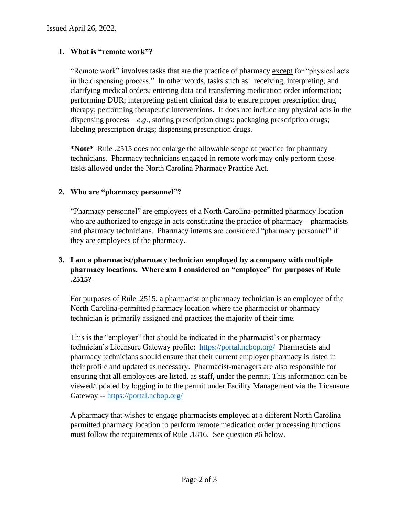# **1. What is "remote work"?**

"Remote work" involves tasks that are the practice of pharmacy except for "physical acts in the dispensing process." In other words, tasks such as: receiving, interpreting, and clarifying medical orders; entering data and transferring medication order information; performing DUR; interpreting patient clinical data to ensure proper prescription drug therapy; performing therapeutic interventions. It does not include any physical acts in the dispensing process  $-e.g.,$  storing prescription drugs; packaging prescription drugs; labeling prescription drugs; dispensing prescription drugs.

**\*Note\*** Rule .2515 does not enlarge the allowable scope of practice for pharmacy technicians. Pharmacy technicians engaged in remote work may only perform those tasks allowed under the North Carolina Pharmacy Practice Act.

# **2. Who are "pharmacy personnel"?**

"Pharmacy personnel" are employees of a North Carolina-permitted pharmacy location who are authorized to engage in acts constituting the practice of pharmacy – pharmacists and pharmacy technicians. Pharmacy interns are considered "pharmacy personnel" if they are employees of the pharmacy.

# **3. I am a pharmacist/pharmacy technician employed by a company with multiple pharmacy locations. Where am I considered an "employee" for purposes of Rule .2515?**

For purposes of Rule .2515, a pharmacist or pharmacy technician is an employee of the North Carolina-permitted pharmacy location where the pharmacist or pharmacy technician is primarily assigned and practices the majority of their time.

This is the "employer" that should be indicated in the pharmacist's or pharmacy technician's Licensure Gateway profile: <https://portal.ncbop.org/> Pharmacists and pharmacy technicians should ensure that their current employer pharmacy is listed in their profile and updated as necessary. Pharmacist-managers are also responsible for ensuring that all employees are listed, as staff, under the permit. This information can be viewed/updated by logging in to the permit under Facility Management via the Licensure Gateway -- <https://portal.ncbop.org/>

A pharmacy that wishes to engage pharmacists employed at a different North Carolina permitted pharmacy location to perform remote medication order processing functions must follow the requirements of Rule .1816. See question #6 below.